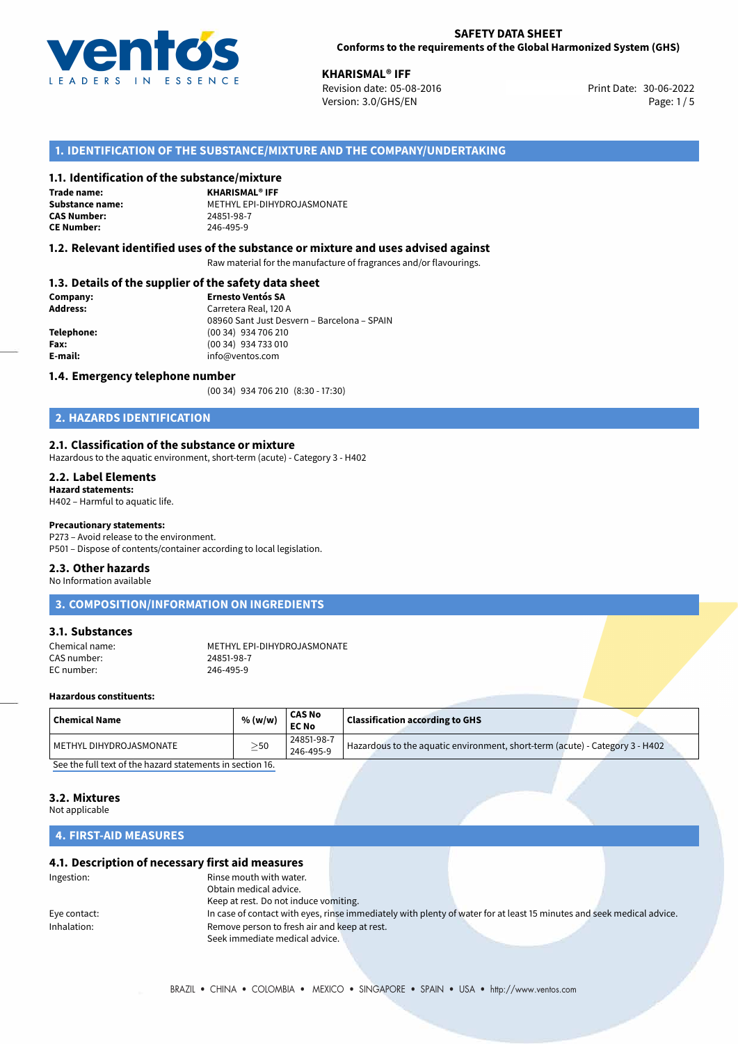

**XHARISMAL® IFF**<br>30-06-2022 Revision date: 05-08-2016 Print Date: 30-06-2022 Version: 3.0/GHS/EN Page: 1/5

# **1. IDENTIFICATION OF THE SUBSTANCE/MIXTURE AND THE COMPANY/UNDERTAKING**

#### **1.1. Identification of the substance/mixture**

**Trade name: CAS Number: CE Number:** 246-495-9

**KHARISMAL® IFF Substance name:** METHYL EPI-DIHYDROJASMONATE

#### **1.2. Relevant identified uses of the substance or mixture and uses advised against**

Raw material for the manufacture of fragrances and/or flavourings.

#### **1.3. Details of the supplier of the safety data sheet**

| Company:   | <b>Ernesto Ventós SA</b>                    |  |
|------------|---------------------------------------------|--|
| Address:   | Carretera Real, 120 A                       |  |
|            | 08960 Sant Just Desvern - Barcelona - SPAIN |  |
| Telephone: | (00 34) 934 706 210                         |  |
| Fax:       | (00 34) 934 733 010                         |  |
| E-mail:    | info@ventos.com                             |  |
|            |                                             |  |

#### **1.4. Emergency telephone number**

(00 34) 934 706 210 (8:30 - 17:30)

# **2. HAZARDS IDENTIFICATION**

#### **2.1. Classification of the substance or mixture**

Hazardous to the aquatic environment, short-term (acute) - Category 3 - H402

#### **2.2. Label Elements**

**Hazard statements:** H402 – Harmful to aquatic life.

#### **Precautionary statements:**

P273 – Avoid release to the environment. P501 – Dispose of contents/container according to local legislation.

#### **2.3. Other hazards**

No Information available

# **3. COMPOSITION/INFORMATION ON INGREDIENTS**

#### **3.1. Substances**

CAS number: 24851-98-7<br>
FC number: 246-495-9 EC number:

Chemical name: METHYL EPI-DIHYDROJASMONATE<br>CAS number: 24851-98-7

#### **Hazardous constituents:**

| $\mid$ Chemical Name    | % (w/w)  | <b>CAS No</b><br><b>EC No</b> | <b>Classification according to GHS</b>                                       |
|-------------------------|----------|-------------------------------|------------------------------------------------------------------------------|
| METHYL DIHYDROJASMONATE | $>_{50}$ | 24851-98-7<br>246-495-9       | Hazardous to the aquatic environment, short-term (acute) - Category 3 - H402 |

[See the full text of the hazard statements in section 16.](#page--1-0)

# **3.2. Mixtures**

Not applicable

# **4. FIRST-AID MEASURES**

#### **4.1. Description of necessary first aid measures**

| Ingestion:   | Rinse mouth with water.                      |                                                                                                                       |  |
|--------------|----------------------------------------------|-----------------------------------------------------------------------------------------------------------------------|--|
|              | Obtain medical advice.                       |                                                                                                                       |  |
|              | Keep at rest. Do not induce vomiting.        |                                                                                                                       |  |
| Eye contact: |                                              | In case of contact with eyes, rinse immediately with plenty of water for at least 15 minutes and seek medical advice. |  |
| Inhalation:  | Remove person to fresh air and keep at rest. |                                                                                                                       |  |
|              | Seek immediate medical advice.               |                                                                                                                       |  |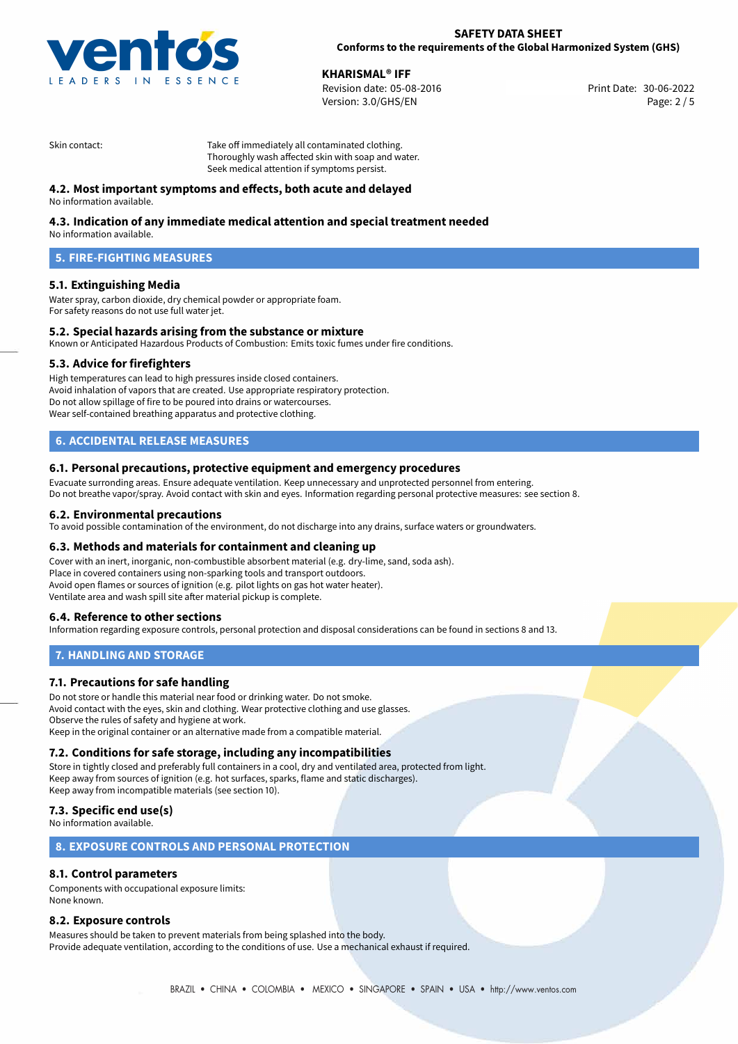

**XHARISMAL® IFF**<br>Revision date: 05-08-2016 Print Date: 30-06-2022 Version: 3.0/GHS/EN Page: 2 / 5

Skin contact: Take off immediately all contaminated clothing. Thoroughly wash affected skin with soap and water. Seek medical attention if symptoms persist.

# **4.2. Most important symptoms and effects, both acute and delayed**

No information available.

# **4.3. Indication of any immediate medical attention and special treatment needed**

No information available.

# **5. FIRE-FIGHTING MEASURES**

# **5.1. Extinguishing Media**

Water spray, carbon dioxide, dry chemical powder or appropriate foam. For safety reasons do not use full water jet.

## **5.2. Special hazards arising from the substance or mixture**

Known or Anticipated Hazardous Products of Combustion: Emits toxic fumes under fire conditions.

#### **5.3. Advice for firefighters**

High temperatures can lead to high pressures inside closed containers. Avoid inhalation of vapors that are created. Use appropriate respiratory protection. Do not allow spillage of fire to be poured into drains or watercourses. Wear self-contained breathing apparatus and protective clothing.

# **6. ACCIDENTAL RELEASE MEASURES**

#### **6.1. Personal precautions, protective equipment and emergency procedures**

Evacuate surronding areas. Ensure adequate ventilation. Keep unnecessary and unprotected personnel from entering. Do not breathe vapor/spray. Avoid contact with skin and eyes. Information regarding personal protective measures: see section 8.

#### **6.2. Environmental precautions**

To avoid possible contamination of the environment, do not discharge into any drains, surface waters or groundwaters.

#### **6.3. Methods and materials for containment and cleaning up**

Cover with an inert, inorganic, non-combustible absorbent material (e.g. dry-lime, sand, soda ash). Place in covered containers using non-sparking tools and transport outdoors. Avoid open flames or sources of ignition (e.g. pilot lights on gas hot water heater). Ventilate area and wash spill site after material pickup is complete.

# **6.4. Reference to other sections**

Information regarding exposure controls, personal protection and disposal considerations can be found in sections 8 and 13.

# **7. HANDLING AND STORAGE**

# **7.1. Precautions for safe handling**

Do not store or handle this material near food or drinking water. Do not smoke. Avoid contact with the eyes, skin and clothing. Wear protective clothing and use glasses. Observe the rules of safety and hygiene at work. Keep in the original container or an alternative made from a compatible material.

# **7.2. Conditions for safe storage, including any incompatibilities**

Store in tightly closed and preferably full containers in a cool, dry and ventilated area, protected from light. Keep away from sources of ignition (e.g. hot surfaces, sparks, flame and static discharges). Keep away from incompatible materials (see section 10).

# **7.3. Specific end use(s)**

No information available.

### **8. EXPOSURE CONTROLS AND PERSONAL PROTECTION**

## **8.1. Control parameters**

Components with occupational exposure limits: None known.

#### **8.2. Exposure controls**

Measures should be taken to prevent materials from being splashed into the body. Provide adequate ventilation, according to the conditions of use. Use a mechanical exhaust if required.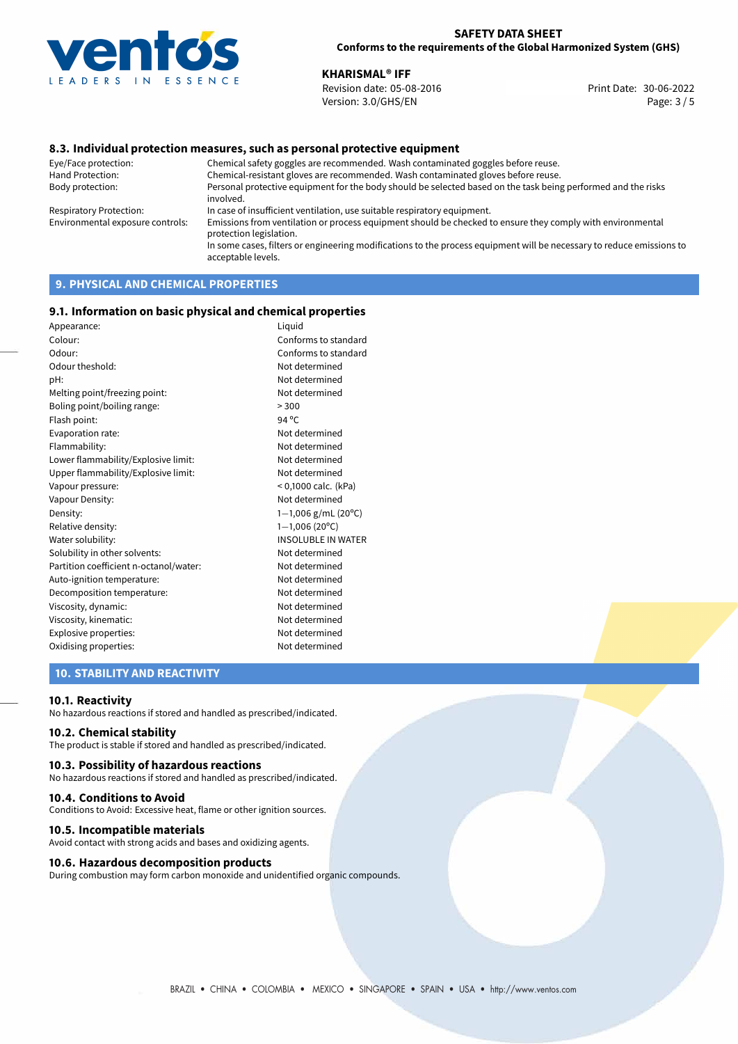

**KHARISMAL<sup>®</sup> IFF**<br>30-06-2022 Revision date: 05-08-2016 Revision date: 05-08-2016 Version: 3.0/GHS/EN Page: 3 / 5

### **8.3. Individual protection measures, such as personal protective equipment**

Eye/Face protection: Chemical safety goggles are recommended. Wash contaminated goggles before reuse. Chemical-resistant gloves are recommended. Wash contaminated gloves before reuse. Body protection: Personal protective equipment for the body should be selected based on the task being performed and the risks involved. Respiratory Protection: In case of insufficient ventilation, use suitable respiratory equipment. Environmental exposure controls: Emissions from ventilation or process equipment should be checked to ensure they comply with environmental protection legislation. In some cases, filters or engineering modifications to the process equipment will be necessary to reduce emissions to acceptable levels.

# **9. PHYSICAL AND CHEMICAL PROPERTIES**

#### **9.1. Information on basic physical and chemical properties**

| Appearance:                            | Liquid                           |
|----------------------------------------|----------------------------------|
| Colour:                                | Conforms to standard             |
| Odour:                                 | Conforms to standard             |
| Odour theshold:                        | Not determined                   |
| pH:                                    | Not determined                   |
| Melting point/freezing point:          | Not determined                   |
| Boling point/boiling range:            | > 300                            |
| Flash point:                           | $94^{\circ}$ C                   |
| Evaporation rate:                      | Not determined                   |
| Flammability:                          | Not determined                   |
| Lower flammability/Explosive limit:    | Not determined                   |
| Upper flammability/Explosive limit:    | Not determined                   |
| Vapour pressure:                       | < 0,1000 calc. (kPa)             |
| Vapour Density:                        | Not determined                   |
| Density:                               | $1-1,006$ g/mL (20 $^{\circ}$ C) |
| Relative density:                      | $1-1,006(20^{\circ}C)$           |
| Water solubility:                      | <b>INSOLUBLE IN WATER</b>        |
| Solubility in other solvents:          | Not determined                   |
| Partition coefficient n-octanol/water: | Not determined                   |
| Auto-ignition temperature:             | Not determined                   |
| Decomposition temperature:             | Not determined                   |
| Viscosity, dynamic:                    | Not determined                   |
| Viscosity, kinematic:                  | Not determined                   |
| Explosive properties:                  | Not determined                   |
| Oxidising properties:                  | Not determined                   |
|                                        |                                  |

# **10. STABILITY AND REACTIVITY**

#### **10.1. Reactivity**

No hazardous reactions if stored and handled as prescribed/indicated.

## **10.2. Chemical stability**

The product is stable if stored and handled as prescribed/indicated.

#### **10.3. Possibility of hazardous reactions**

No hazardous reactions if stored and handled as prescribed/indicated.

#### **10.4. Conditions to Avoid**

Conditions to Avoid: Excessive heat, flame or other ignition sources.

#### **10.5. Incompatible materials**

Avoid contact with strong acids and bases and oxidizing agents.

#### **10.6. Hazardous decomposition products**

During combustion may form carbon monoxide and unidentified organic compounds.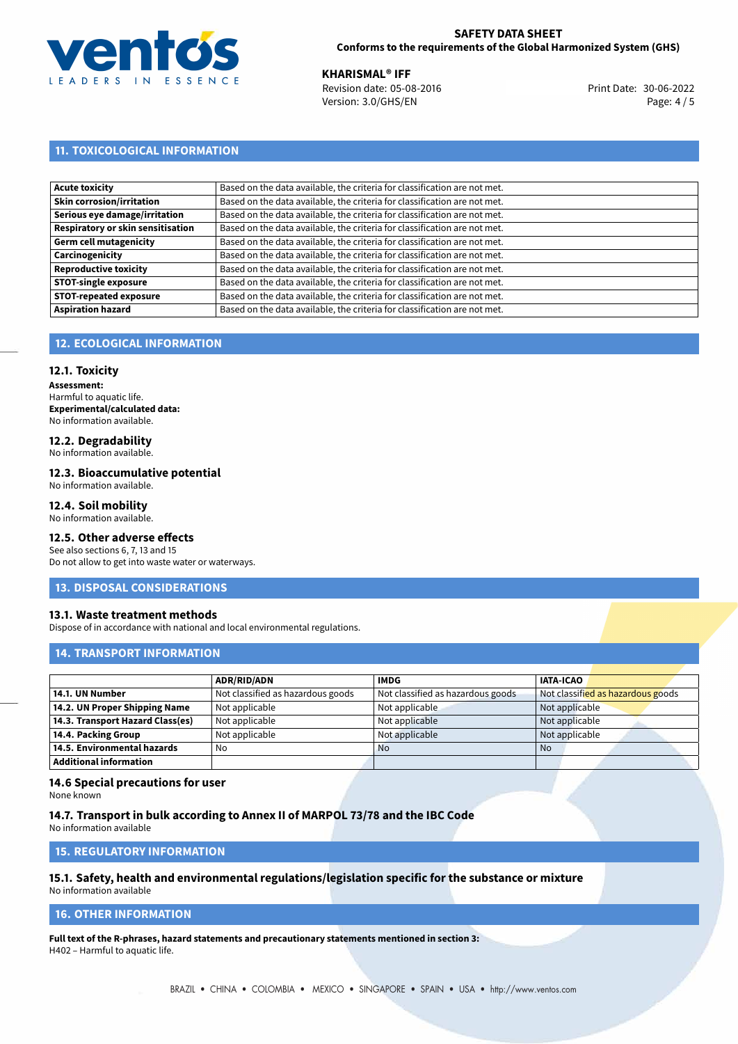

**XHARISMAL® IFF**<br>Revision date: 05-08-2016 Print Date: 30-06-2022 Version: 3.0/GHS/EN Page: 4 / 5

# **11. TOXICOLOGICAL INFORMATION**

| <b>Acute toxicity</b>             | Based on the data available, the criteria for classification are not met. |
|-----------------------------------|---------------------------------------------------------------------------|
| Skin corrosion/irritation         | Based on the data available, the criteria for classification are not met. |
| Serious eye damage/irritation     | Based on the data available, the criteria for classification are not met. |
| Respiratory or skin sensitisation | Based on the data available, the criteria for classification are not met. |
| Germ cell mutagenicity            | Based on the data available, the criteria for classification are not met. |
| Carcinogenicity                   | Based on the data available, the criteria for classification are not met. |
| Reproductive toxicity             | Based on the data available, the criteria for classification are not met. |
| <b>STOT-single exposure</b>       | Based on the data available, the criteria for classification are not met. |
| <b>STOT-repeated exposure</b>     | Based on the data available, the criteria for classification are not met. |
| <b>Aspiration hazard</b>          | Based on the data available, the criteria for classification are not met. |

# **12. ECOLOGICAL INFORMATION**

#### **12.1. Toxicity**

**Assessment:** Harmful to aquatic life. **Experimental/calculated data:** No information available.

# **12.2. Degradability**

No information available.

### **12.3. Bioaccumulative potential**

No information available.

# **12.4. Soil mobility**

No information available.

# **12.5. Other adverse effects**

See also sections 6, 7, 13 and 15 Do not allow to get into waste water or waterways.

#### **13. DISPOSAL CONSIDERATIONS**

#### **13.1. Waste treatment methods**

Dispose of in accordance with national and local environmental regulations.

## **14. TRANSPORT INFORMATION**

|                                  | <b>ADR/RID/ADN</b>                | <b>IMDG</b>                       | <b>IATA-ICAO</b>                  |
|----------------------------------|-----------------------------------|-----------------------------------|-----------------------------------|
| 14.1. UN Number                  | Not classified as hazardous goods | Not classified as hazardous goods | Not classified as hazardous goods |
| 14.2. UN Proper Shipping Name    | Not applicable                    | Not applicable                    | Not applicable                    |
| 14.3. Transport Hazard Class(es) | Not applicable                    | Not applicable                    | Not applicable                    |
| 14.4. Packing Group              | Not applicable                    | Not applicable                    | Not applicable                    |
| 14.5. Environmental hazards      | No                                | <b>No</b>                         | No                                |
| <b>Additional information</b>    |                                   |                                   |                                   |

#### **14.6 Special precautions for user**

None known

### **14.7. Transport in bulk according to Annex II of MARPOL 73/78 and the IBC Code**

No information available

# **15. REGULATORY INFORMATION**

# **15.1. Safety, health and environmental regulations/legislation specific for the substance or mixture**

No information available

# **16. OTHER INFORMATION**

**Full text of the R-phrases, hazard statements and precautionary statements mentioned in section 3:** H402 – Harmful to aquatic life.